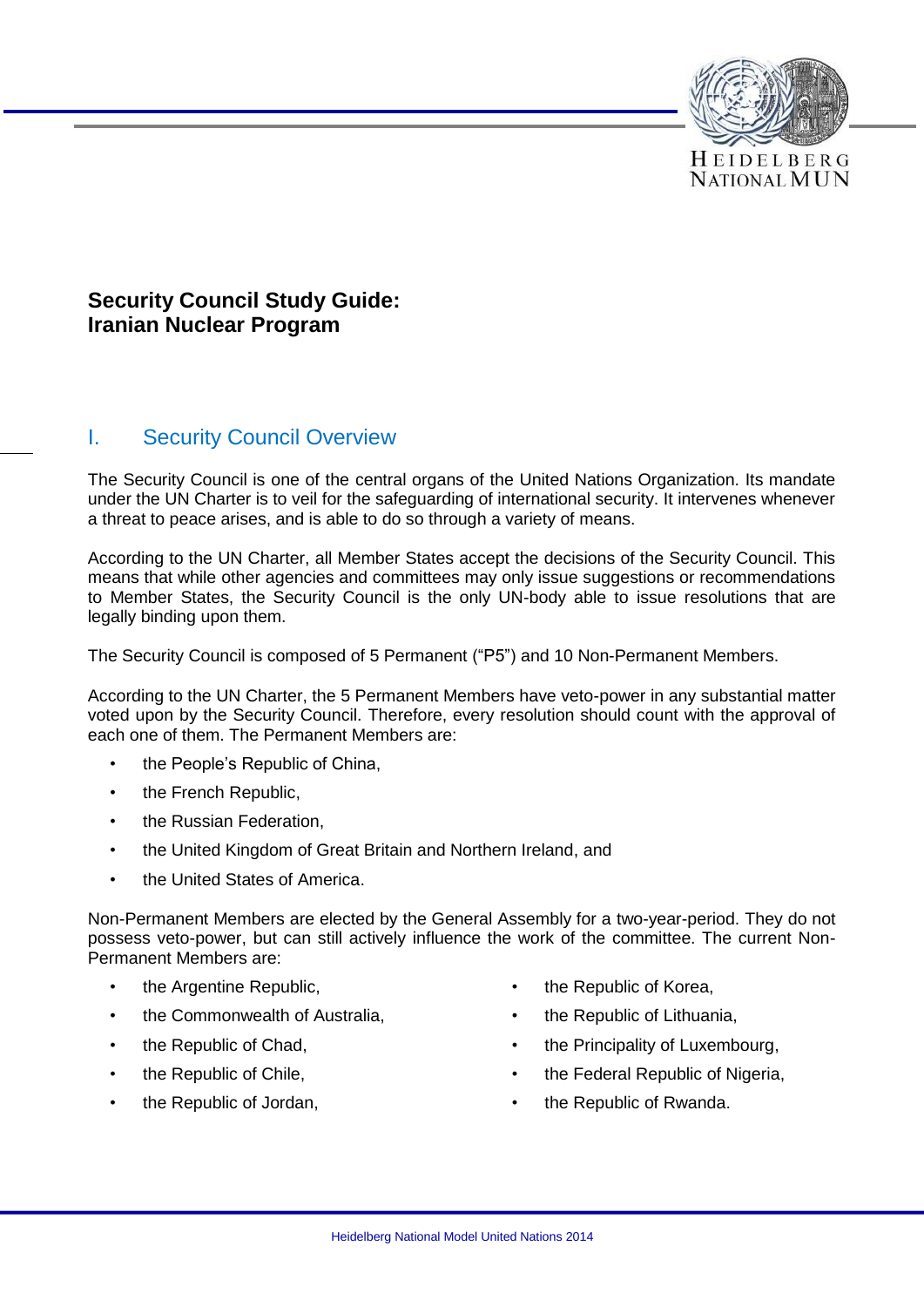

# **Security Council Study Guide: Iranian Nuclear Program**

### I. Security Council Overview

The Security Council is one of the central organs of the United Nations Organization. Its mandate under the UN Charter is to veil for the safeguarding of international security. It intervenes whenever a threat to peace arises, and is able to do so through a variety of means.

According to the UN Charter, all Member States accept the decisions of the Security Council. This means that while other agencies and committees may only issue suggestions or recommendations to Member States, the Security Council is the only UN-body able to issue resolutions that are legally binding upon them.

The Security Council is composed of 5 Permanent ("P5") and 10 Non-Permanent Members.

According to the UN Charter, the 5 Permanent Members have veto-power in any substantial matter voted upon by the Security Council. Therefore, every resolution should count with the approval of each one of them. The Permanent Members are:

- the People's Republic of China.
- the French Republic.
- the Russian Federation,
- the United Kingdom of Great Britain and Northern Ireland, and
- the United States of America.

Non-Permanent Members are elected by the General Assembly for a two-year-period. They do not possess veto-power, but can still actively influence the work of the committee. The current Non-Permanent Members are:

- the Argentine Republic,
- the Commonwealth of Australia.
- the Republic of Chad,
- the Republic of Chile,
- the Republic of Jordan,
- the Republic of Korea,
- the Republic of Lithuania,
- the Principality of Luxembourg,
- the Federal Republic of Nigeria,
- the Republic of Rwanda.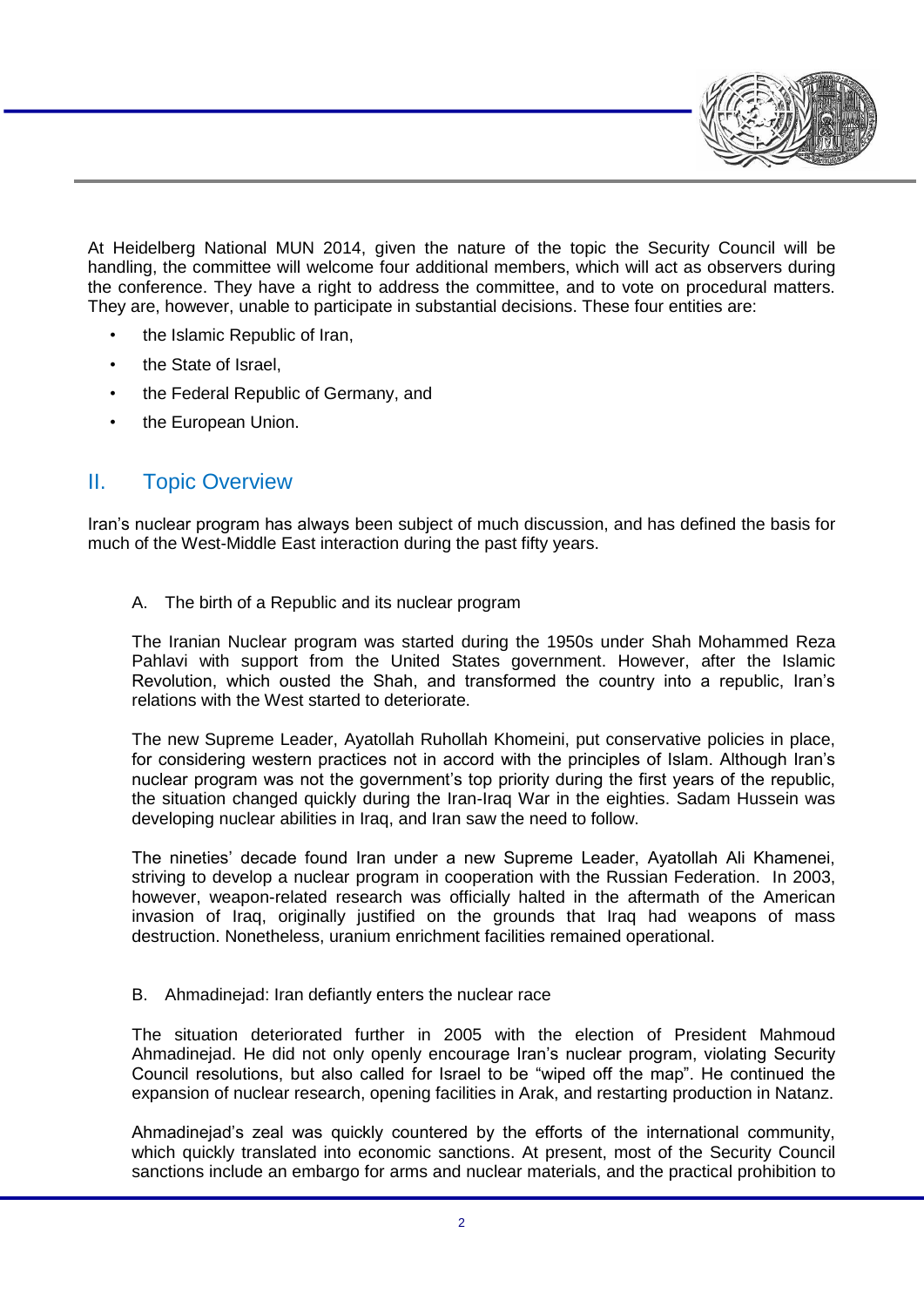At Heidelberg National MUN 2014, given the nature of the topic the Security Council will be handling, the committee will welcome four additional members, which will act as observers during the conference. They have a right to address the committee, and to vote on procedural matters. They are, however, unable to participate in substantial decisions. These four entities are:

- the Islamic Republic of Iran,
- the State of Israel,
- the Federal Republic of Germany, and
- the European Union.

## II. Topic Overview

Iran's nuclear program has always been subject of much discussion, and has defined the basis for much of the West-Middle East interaction during the past fifty years.

#### A. The birth of a Republic and its nuclear program

The Iranian Nuclear program was started during the 1950s under Shah Mohammed Reza Pahlavi with support from the United States government. However, after the Islamic Revolution, which ousted the Shah, and transformed the country into a republic, Iran's relations with the West started to deteriorate.

The new Supreme Leader, Ayatollah Ruhollah Khomeini, put conservative policies in place, for considering western practices not in accord with the principles of Islam. Although Iran's nuclear program was not the government's top priority during the first years of the republic, the situation changed quickly during the Iran-Iraq War in the eighties. Sadam Hussein was developing nuclear abilities in Iraq, and Iran saw the need to follow.

The nineties' decade found Iran under a new Supreme Leader, Ayatollah Ali Khamenei, striving to develop a nuclear program in cooperation with the Russian Federation. In 2003, however, weapon-related research was officially halted in the aftermath of the American invasion of Iraq, originally justified on the grounds that Iraq had weapons of mass destruction. Nonetheless, uranium enrichment facilities remained operational.

#### B. Ahmadinejad: Iran defiantly enters the nuclear race

The situation deteriorated further in 2005 with the election of President Mahmoud Ahmadinejad. He did not only openly encourage Iran's nuclear program, violating Security Council resolutions, but also called for Israel to be "wiped off the map". He continued the expansion of nuclear research, opening facilities in Arak, and restarting production in Natanz.

Ahmadinejad's zeal was quickly countered by the efforts of the international community, which quickly translated into economic sanctions. At present, most of the Security Council sanctions include an embargo for arms and nuclear materials, and the practical prohibition to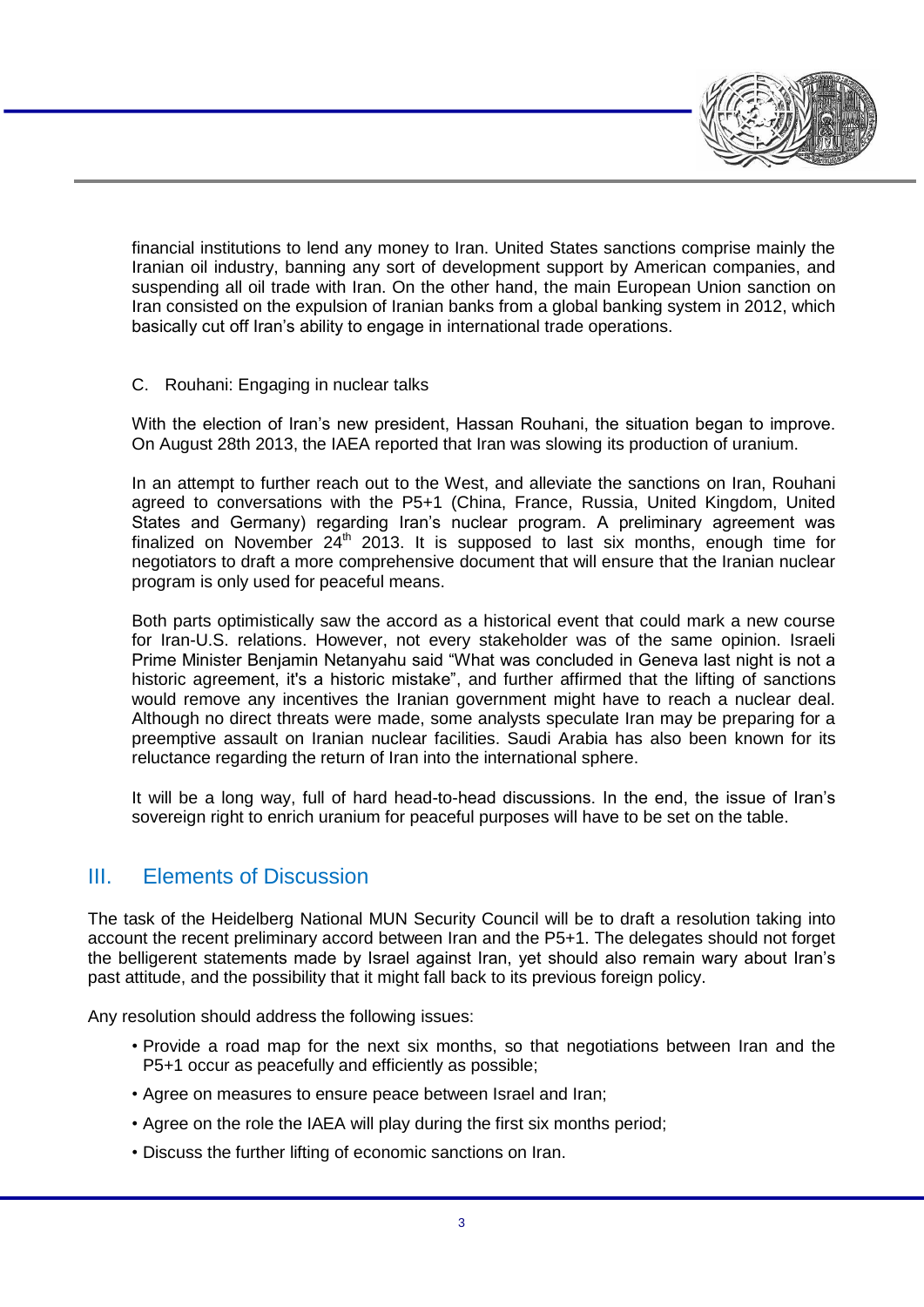financial institutions to lend any money to Iran. United States sanctions comprise mainly the Iranian oil industry, banning any sort of development support by American companies, and suspending all oil trade with Iran. On the other hand, the main European Union sanction on Iran consisted on the expulsion of Iranian banks from a global banking system in 2012, which basically cut off Iran's ability to engage in international trade operations.

### C. Rouhani: Engaging in nuclear talks

With the election of Iran's new president, Hassan Rouhani, the situation began to improve. On August 28th 2013, the IAEA reported that Iran was slowing its production of uranium.

In an attempt to further reach out to the West, and alleviate the sanctions on Iran, Rouhani agreed to conversations with the P5+1 (China, France, Russia, United Kingdom, United States and Germany) regarding Iran's nuclear program. A preliminary agreement was finalized on November  $24<sup>th</sup>$  2013. It is supposed to last six months, enough time for negotiators to draft a more comprehensive document that will ensure that the Iranian nuclear program is only used for peaceful means.

Both parts optimistically saw the accord as a historical event that could mark a new course for Iran-U.S. relations. However, not every stakeholder was of the same opinion. Israeli Prime Minister Benjamin Netanyahu said "What was concluded in Geneva last night is not a historic agreement, it's a historic mistake", and further affirmed that the lifting of sanctions would remove any incentives the Iranian government might have to reach a nuclear deal. Although no direct threats were made, some analysts speculate Iran may be preparing for a preemptive assault on Iranian nuclear facilities. Saudi Arabia has also been known for its reluctance regarding the return of Iran into the international sphere.

It will be a long way, full of hard head-to-head discussions. In the end, the issue of Iran's sovereign right to enrich uranium for peaceful purposes will have to be set on the table.

## III. Elements of Discussion

The task of the Heidelberg National MUN Security Council will be to draft a resolution taking into account the recent preliminary accord between Iran and the P5+1. The delegates should not forget the belligerent statements made by Israel against Iran, yet should also remain wary about Iran's past attitude, and the possibility that it might fall back to its previous foreign policy.

Any resolution should address the following issues:

- Provide a road map for the next six months, so that negotiations between Iran and the P5+1 occur as peacefully and efficiently as possible;
- Agree on measures to ensure peace between Israel and Iran;
- Agree on the role the IAEA will play during the first six months period;
- Discuss the further lifting of economic sanctions on Iran.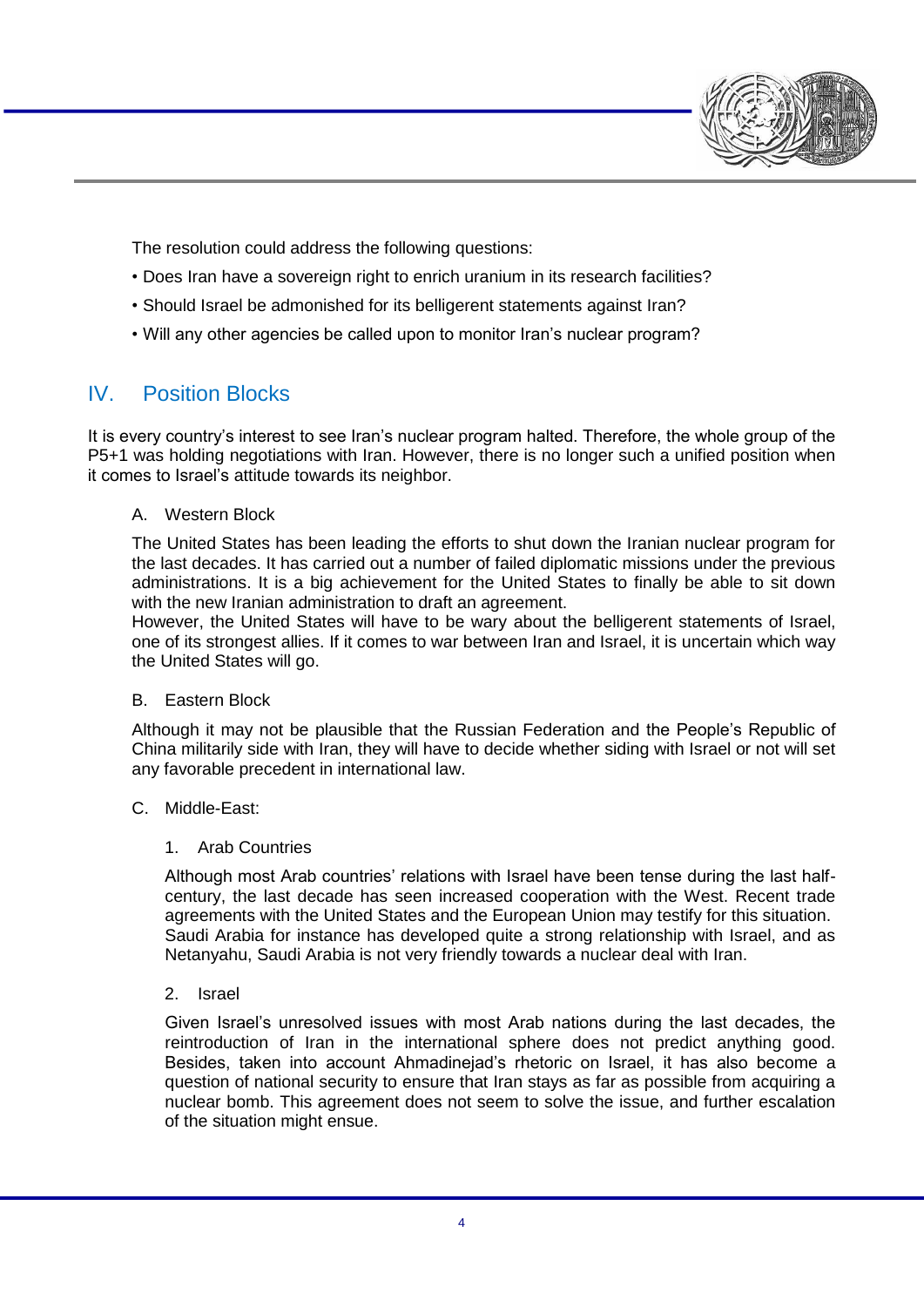

The resolution could address the following questions:

- Does Iran have a sovereign right to enrich uranium in its research facilities?
- Should Israel be admonished for its belligerent statements against Iran?
- Will any other agencies be called upon to monitor Iran's nuclear program?

# IV. Position Blocks

It is every country's interest to see Iran's nuclear program halted. Therefore, the whole group of the P5+1 was holding negotiations with Iran. However, there is no longer such a unified position when it comes to Israel's attitude towards its neighbor.

#### A. Western Block

The United States has been leading the efforts to shut down the Iranian nuclear program for the last decades. It has carried out a number of failed diplomatic missions under the previous administrations. It is a big achievement for the United States to finally be able to sit down with the new Iranian administration to draft an agreement.

However, the United States will have to be wary about the belligerent statements of Israel, one of its strongest allies. If it comes to war between Iran and Israel, it is uncertain which way the United States will go.

#### B. Eastern Block

Although it may not be plausible that the Russian Federation and the People's Republic of China militarily side with Iran, they will have to decide whether siding with Israel or not will set any favorable precedent in international law.

#### C. Middle-East:

#### 1. Arab Countries

Although most Arab countries' relations with Israel have been tense during the last halfcentury, the last decade has seen increased cooperation with the West. Recent trade agreements with the United States and the European Union may testify for this situation. Saudi Arabia for instance has developed quite a strong relationship with Israel, and as Netanyahu, Saudi Arabia is not very friendly towards a nuclear deal with Iran.

#### 2. Israel

Given Israel's unresolved issues with most Arab nations during the last decades, the reintroduction of Iran in the international sphere does not predict anything good. Besides, taken into account Ahmadinejad's rhetoric on Israel, it has also become a question of national security to ensure that Iran stays as far as possible from acquiring a nuclear bomb. This agreement does not seem to solve the issue, and further escalation of the situation might ensue.